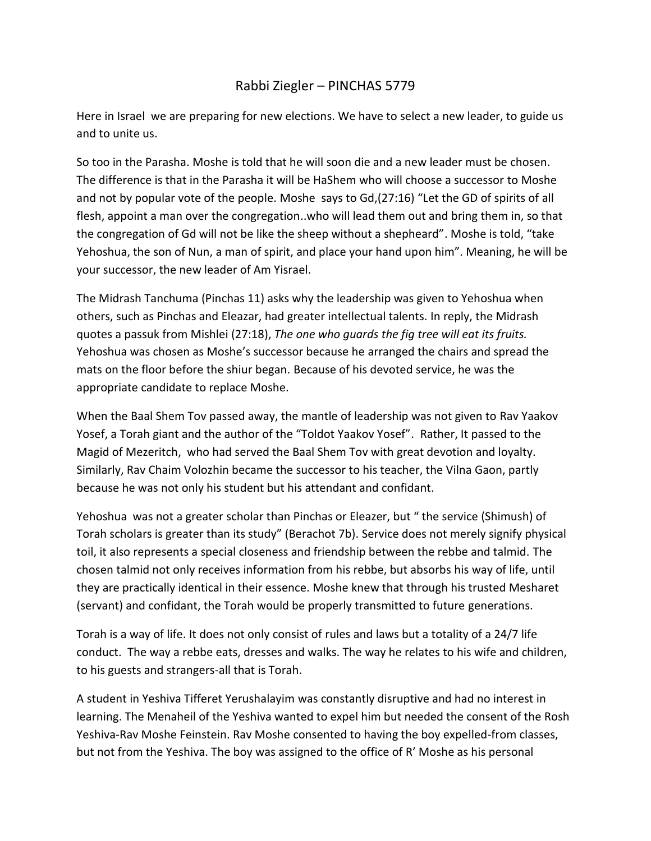## Rabbi Ziegler – PINCHAS 5779

Here in Israel we are preparing for new elections. We have to select a new leader, to guide us and to unite us.

So too in the Parasha. Moshe is told that he will soon die and a new leader must be chosen. The difference is that in the Parasha it will be HaShem who will choose a successor to Moshe and not by popular vote of the people. Moshe says to Gd,(27:16) "Let the GD of spirits of all flesh, appoint a man over the congregation..who will lead them out and bring them in, so that the congregation of Gd will not be like the sheep without a shepheard". Moshe is told, "take Yehoshua, the son of Nun, a man of spirit, and place your hand upon him". Meaning, he will be your successor, the new leader of Am Yisrael.

The Midrash Tanchuma (Pinchas 11) asks why the leadership was given to Yehoshua when others, such as Pinchas and Eleazar, had greater intellectual talents. In reply, the Midrash quotes a passuk from Mishlei (27:18), *The one who guards the fig tree will eat its fruits.*  Yehoshua was chosen as Moshe's successor because he arranged the chairs and spread the mats on the floor before the shiur began. Because of his devoted service, he was the appropriate candidate to replace Moshe.

When the Baal Shem Tov passed away, the mantle of leadership was not given to Rav Yaakov Yosef, a Torah giant and the author of the "Toldot Yaakov Yosef". Rather, It passed to the Magid of Mezeritch, who had served the Baal Shem Tov with great devotion and loyalty. Similarly, Rav Chaim Volozhin became the successor to his teacher, the Vilna Gaon, partly because he was not only his student but his attendant and confidant.

Yehoshua was not a greater scholar than Pinchas or Eleazer, but " the service (Shimush) of Torah scholars is greater than its study" (Berachot 7b). Service does not merely signify physical toil, it also represents a special closeness and friendship between the rebbe and talmid. The chosen talmid not only receives information from his rebbe, but absorbs his way of life, until they are practically identical in their essence. Moshe knew that through his trusted Mesharet (servant) and confidant, the Torah would be properly transmitted to future generations.

Torah is a way of life. It does not only consist of rules and laws but a totality of a 24/7 life conduct. The way a rebbe eats, dresses and walks. The way he relates to his wife and children, to his guests and strangers-all that is Torah.

A student in Yeshiva Tifferet Yerushalayim was constantly disruptive and had no interest in learning. The Menaheil of the Yeshiva wanted to expel him but needed the consent of the Rosh Yeshiva-Rav Moshe Feinstein. Rav Moshe consented to having the boy expelled-from classes, but not from the Yeshiva. The boy was assigned to the office of R' Moshe as his personal